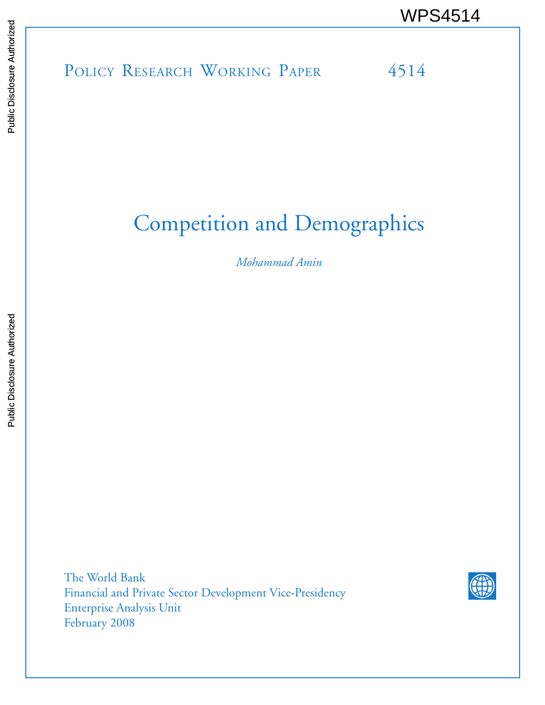# POLICY RESEARCH WORKING PAPER 4514 WPS4514<br>
Media<br>
Media<br>
POLICY RESEARCH WORKING PAPER<br>
POLICY RESEARCH WORKING PAPER<br>
POLICY RESEARCH WORKING PAPER<br>
PAPER

# Competition and Demographics

*Mohammad Amin*

The World Bank Financial and Private Sector Development Vice-Presidency Enterprise Analysis Unit February 2008

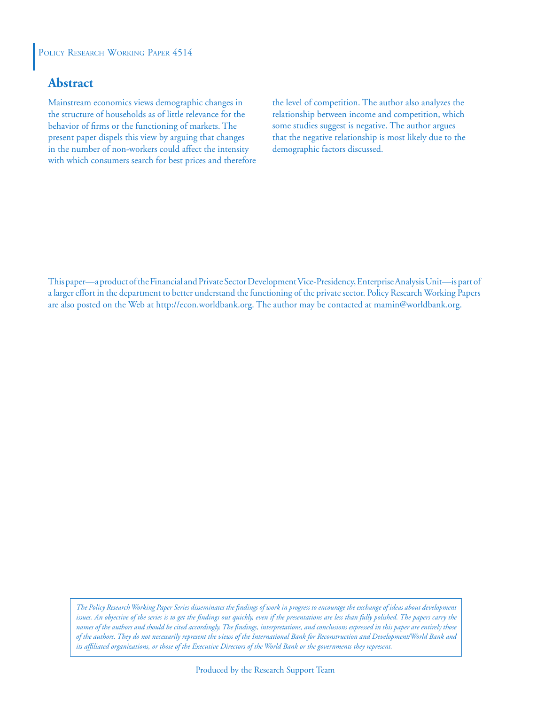#### POLICY RESEARCH WORKING PAPER 4514

#### **Abstract**

Mainstream economics views demographic changes in the structure of households as of little relevance for the behavior of firms or the functioning of markets. The present paper dispels this view by arguing that changes in the number of non-workers could affect the intensity with which consumers search for best prices and therefore the level of competition. The author also analyzes the relationship between income and competition, which some studies suggest is negative. The author argues that the negative relationship is most likely due to the demographic factors discussed.

This paper—a product of the Financial and Private Sector Development Vice-Presidency, Enterprise Analysis Unit—is part of a larger effort in the department to better understand the functioning of the private sector. Policy Research Working Papers are also posted on the Web at http://econ.worldbank.org. The author may be contacted at mamin@worldbank.org.

*The Policy Research Working Paper Series disseminates the findings of work in progress to encourage the exchange of ideas about development issues. An objective of the series is to get the findings out quickly, even if the presentations are less than fully polished. The papers carry the names of the authors and should be cited accordingly. The findings, interpretations, and conclusions expressed in this paper are entirely those of the authors. They do not necessarily represent the views of the International Bank for Reconstruction and Development/World Bank and its affiliated organizations, or those of the Executive Directors of the World Bank or the governments they represent.*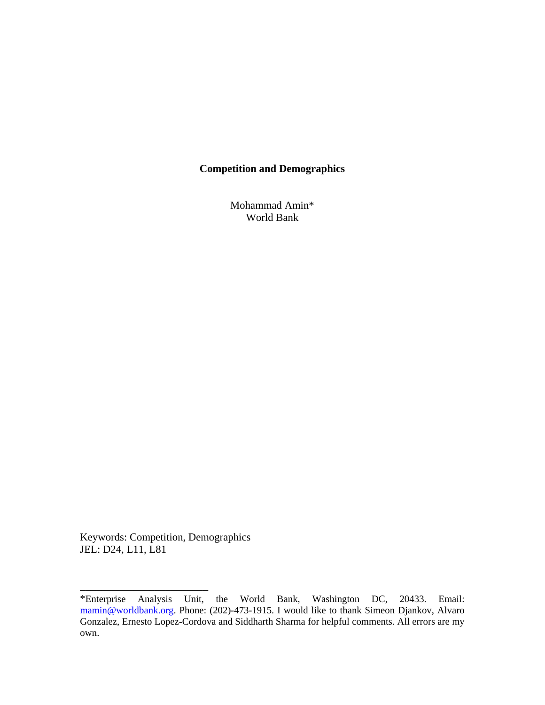#### **Competition and Demographics**

Mohammad Amin\* World Bank

Keywords: Competition, Demographics JEL: D24, L11, L81

\_\_\_\_\_\_\_\_\_\_\_\_\_\_\_\_\_\_\_\_\_\_\_\_

<sup>\*</sup>Enterprise Analysis Unit, the World Bank, Washington DC, 20433. Email: [mamin@worldbank.org](mailto:mamin@worldbank.org). Phone: (202)-473-1915. I would like to thank Simeon Djankov, Alvaro Gonzalez, Ernesto Lopez-Cordova and Siddharth Sharma for helpful comments. All errors are my own.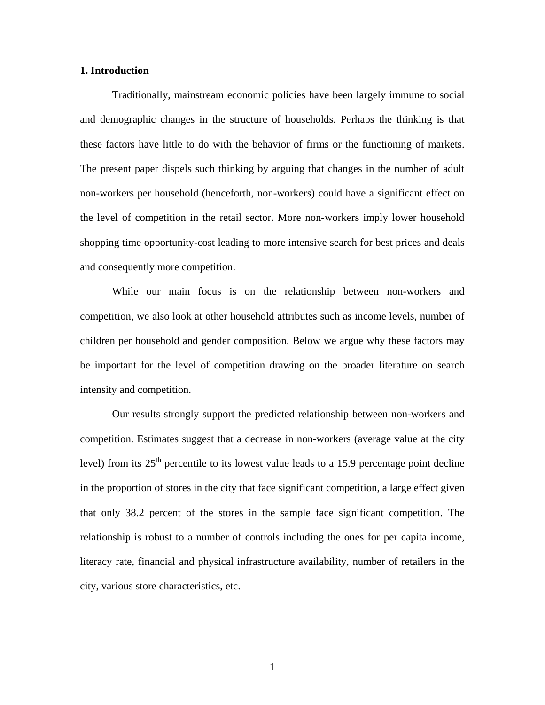#### **1. Introduction**

 Traditionally, mainstream economic policies have been largely immune to social and demographic changes in the structure of households. Perhaps the thinking is that these factors have little to do with the behavior of firms or the functioning of markets. The present paper dispels such thinking by arguing that changes in the number of adult non-workers per household (henceforth, non-workers) could have a significant effect on the level of competition in the retail sector. More non-workers imply lower household shopping time opportunity-cost leading to more intensive search for best prices and deals and consequently more competition.

While our main focus is on the relationship between non-workers and competition, we also look at other household attributes such as income levels, number of children per household and gender composition. Below we argue why these factors may be important for the level of competition drawing on the broader literature on search intensity and competition.

 Our results strongly support the predicted relationship between non-workers and competition. Estimates suggest that a decrease in non-workers (average value at the city level) from its  $25<sup>th</sup>$  percentile to its lowest value leads to a 15.9 percentage point decline in the proportion of stores in the city that face significant competition, a large effect given that only 38.2 percent of the stores in the sample face significant competition. The relationship is robust to a number of controls including the ones for per capita income, literacy rate, financial and physical infrastructure availability, number of retailers in the city, various store characteristics, etc.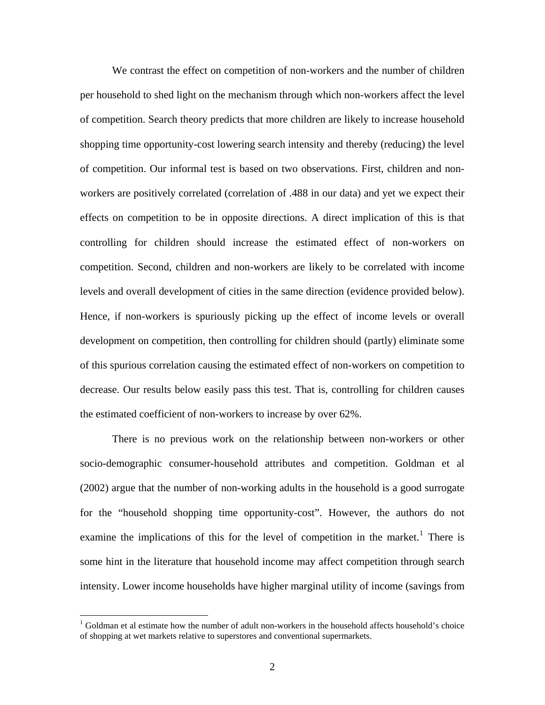We contrast the effect on competition of non-workers and the number of children per household to shed light on the mechanism through which non-workers affect the level of competition. Search theory predicts that more children are likely to increase household shopping time opportunity-cost lowering search intensity and thereby (reducing) the level of competition. Our informal test is based on two observations. First, children and nonworkers are positively correlated (correlation of .488 in our data) and yet we expect their effects on competition to be in opposite directions. A direct implication of this is that controlling for children should increase the estimated effect of non-workers on competition. Second, children and non-workers are likely to be correlated with income levels and overall development of cities in the same direction (evidence provided below). Hence, if non-workers is spuriously picking up the effect of income levels or overall development on competition, then controlling for children should (partly) eliminate some of this spurious correlation causing the estimated effect of non-workers on competition to decrease. Our results below easily pass this test. That is, controlling for children causes the estimated coefficient of non-workers to increase by over 62%.

 There is no previous work on the relationship between non-workers or other socio-demographic consumer-household attributes and competition. Goldman et al (2002) argue that the number of non-working adults in the household is a good surrogate for the "household shopping time opportunity-cost". However, the authors do not examine the implications of this for the level of competition in the market.<sup>[1](#page-4-0)</sup> There is some hint in the literature that household income may affect competition through search intensity. Lower income households have higher marginal utility of income (savings from

<span id="page-4-0"></span> $1$  Goldman et al estimate how the number of adult non-workers in the household affects household's choice of shopping at wet markets relative to superstores and conventional supermarkets.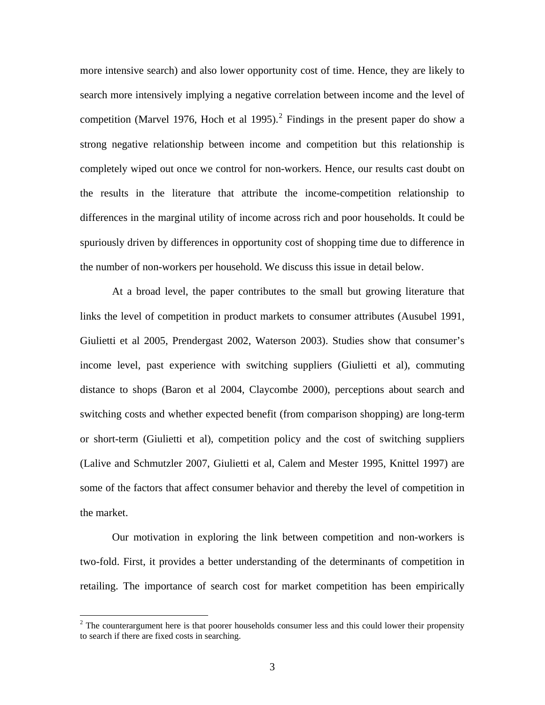more intensive search) and also lower opportunity cost of time. Hence, they are likely to search more intensively implying a negative correlation between income and the level of competition (Marvel 1976, Hoch et al 1995).<sup>[2](#page-5-0)</sup> Findings in the present paper do show a strong negative relationship between income and competition but this relationship is completely wiped out once we control for non-workers. Hence, our results cast doubt on the results in the literature that attribute the income-competition relationship to differences in the marginal utility of income across rich and poor households. It could be spuriously driven by differences in opportunity cost of shopping time due to difference in the number of non-workers per household. We discuss this issue in detail below.

 At a broad level, the paper contributes to the small but growing literature that links the level of competition in product markets to consumer attributes (Ausubel 1991, Giulietti et al 2005, Prendergast 2002, Waterson 2003). Studies show that consumer's income level, past experience with switching suppliers (Giulietti et al), commuting distance to shops (Baron et al 2004, Claycombe 2000), perceptions about search and switching costs and whether expected benefit (from comparison shopping) are long-term or short-term (Giulietti et al), competition policy and the cost of switching suppliers (Lalive and Schmutzler 2007, Giulietti et al, Calem and Mester 1995, Knittel 1997) are some of the factors that affect consumer behavior and thereby the level of competition in the market.

Our motivation in exploring the link between competition and non-workers is two-fold. First, it provides a better understanding of the determinants of competition in retailing. The importance of search cost for market competition has been empirically

<span id="page-5-0"></span> $2<sup>2</sup>$  The counterargument here is that poorer households consumer less and this could lower their propensity to search if there are fixed costs in searching.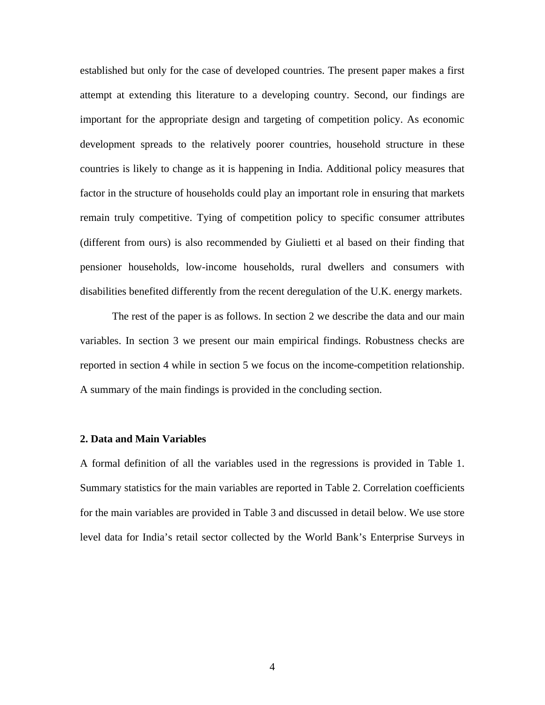established but only for the case of developed countries. The present paper makes a first attempt at extending this literature to a developing country. Second, our findings are important for the appropriate design and targeting of competition policy. As economic development spreads to the relatively poorer countries, household structure in these countries is likely to change as it is happening in India. Additional policy measures that factor in the structure of households could play an important role in ensuring that markets remain truly competitive. Tying of competition policy to specific consumer attributes (different from ours) is also recommended by Giulietti et al based on their finding that pensioner households, low-income households, rural dwellers and consumers with disabilities benefited differently from the recent deregulation of the U.K. energy markets.

 The rest of the paper is as follows. In section 2 we describe the data and our main variables. In section 3 we present our main empirical findings. Robustness checks are reported in section 4 while in section 5 we focus on the income-competition relationship. A summary of the main findings is provided in the concluding section.

#### **2. Data and Main Variables**

A formal definition of all the variables used in the regressions is provided in Table 1. Summary statistics for the main variables are reported in Table 2. Correlation coefficients for the main variables are provided in Table 3 and discussed in detail below. We use store level data for India's retail sector collected by the World Bank's Enterprise Surveys in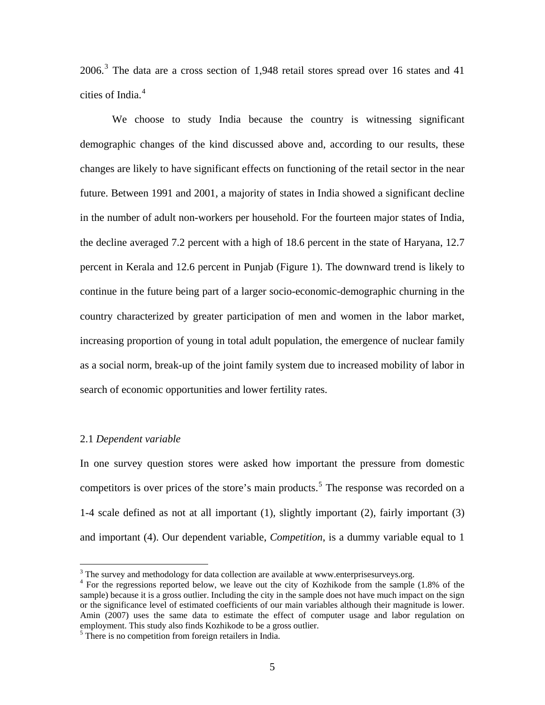2006.<sup>[3](#page-7-0)</sup> The data are a cross section of 1,948 retail stores spread over 16 states and 41 cities of India.<sup>[4](#page-7-1)</sup>

We choose to study India because the country is witnessing significant demographic changes of the kind discussed above and, according to our results, these changes are likely to have significant effects on functioning of the retail sector in the near future. Between 1991 and 2001, a majority of states in India showed a significant decline in the number of adult non-workers per household. For the fourteen major states of India, the decline averaged 7.2 percent with a high of 18.6 percent in the state of Haryana, 12.7 percent in Kerala and 12.6 percent in Punjab (Figure 1). The downward trend is likely to continue in the future being part of a larger socio-economic-demographic churning in the country characterized by greater participation of men and women in the labor market, increasing proportion of young in total adult population, the emergence of nuclear family as a social norm, break-up of the joint family system due to increased mobility of labor in search of economic opportunities and lower fertility rates.

#### 2.1 *Dependent variable*

<u>.</u>

In one survey question stores were asked how important the pressure from domestic competitors is over prices of the store's main products.<sup>[5](#page-7-2)</sup> The response was recorded on a 1-4 scale defined as not at all important (1), slightly important (2), fairly important (3) and important (4). Our dependent variable, *Competition*, is a dummy variable equal to 1

<span id="page-7-1"></span><span id="page-7-0"></span> $3$  The survey and methodology for data collection are available at www.enterprisesurveys.org.

<sup>&</sup>lt;sup>4</sup> For the regressions reported below, we leave out the city of Kozhikode from the sample (1.8% of the sample) because it is a gross outlier. Including the city in the sample does not have much impact on the sign or the significance level of estimated coefficients of our main variables although their magnitude is lower. Amin (2007) uses the same data to estimate the effect of computer usage and labor regulation on employment. This study also finds Kozhikode to be a gross outlier.

<span id="page-7-2"></span><sup>&</sup>lt;sup>5</sup> There is no competition from foreign retailers in India.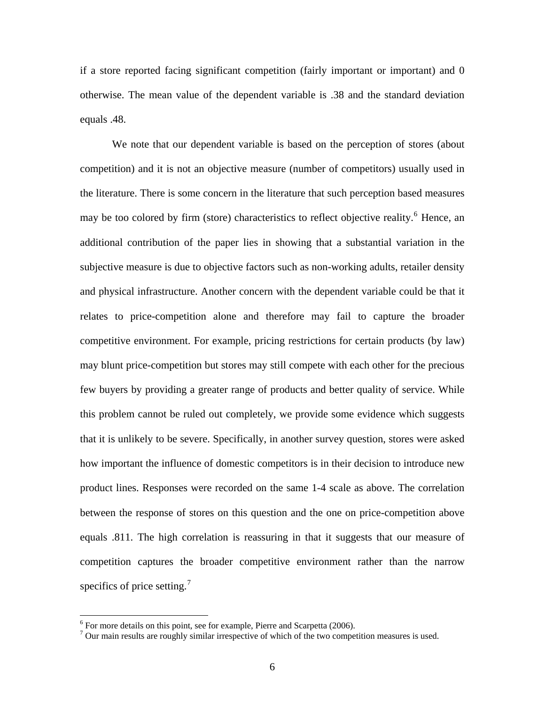if a store reported facing significant competition (fairly important or important) and 0 otherwise. The mean value of the dependent variable is .38 and the standard deviation equals .48.

We note that our dependent variable is based on the perception of stores (about competition) and it is not an objective measure (number of competitors) usually used in the literature. There is some concern in the literature that such perception based measures may be too colored by firm (store) characteristics to reflect objective reality.<sup>[6](#page-8-0)</sup> Hence, an additional contribution of the paper lies in showing that a substantial variation in the subjective measure is due to objective factors such as non-working adults, retailer density and physical infrastructure. Another concern with the dependent variable could be that it relates to price-competition alone and therefore may fail to capture the broader competitive environment. For example, pricing restrictions for certain products (by law) may blunt price-competition but stores may still compete with each other for the precious few buyers by providing a greater range of products and better quality of service. While this problem cannot be ruled out completely, we provide some evidence which suggests that it is unlikely to be severe. Specifically, in another survey question, stores were asked how important the influence of domestic competitors is in their decision to introduce new product lines. Responses were recorded on the same 1-4 scale as above. The correlation between the response of stores on this question and the one on price-competition above equals .811. The high correlation is reassuring in that it suggests that our measure of competition captures the broader competitive environment rather than the narrow specifics of price setting.<sup>[7](#page-8-1)</sup>

<span id="page-8-0"></span> $6$  For more details on this point, see for example, Pierre and Scarpetta (2006).

<span id="page-8-1"></span><sup>&</sup>lt;sup>7</sup> Our main results are roughly similar irrespective of which of the two competition measures is used.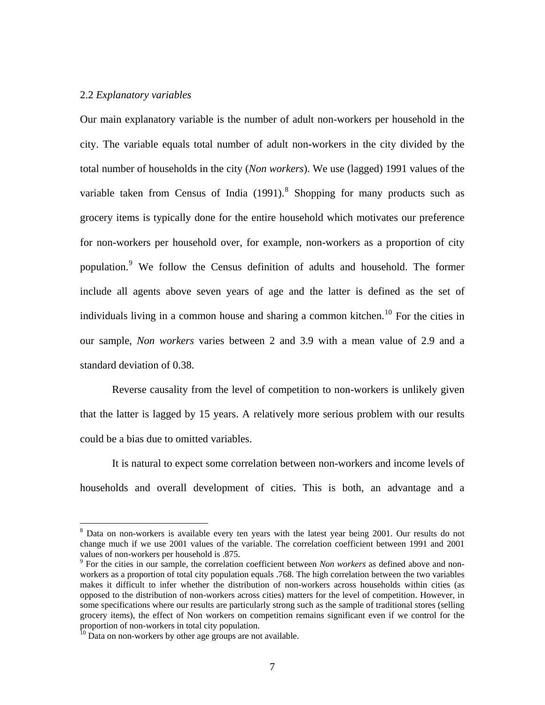#### 2.2 *Explanatory variables*

Our main explanatory variable is the number of adult non-workers per household in the city. The variable equals total number of adult non-workers in the city divided by the total number of households in the city (*Non workers*). We use (lagged) 1991 values of the variable taken from Census of India  $(1991)$ .<sup>[8](#page-9-0)</sup> Shopping for many products such as grocery items is typically done for the entire household which motivates our preference for non-workers per household over, for example, non-workers as a proportion of city population.<sup>[9](#page-9-1)</sup> We follow the Census definition of adults and household. The former include all agents above seven years of age and the latter is defined as the set of individuals living in a common house and sharing a common kitchen.<sup>[10](#page-9-2)</sup> For the cities in our sample, *Non workers* varies between 2 and 3.9 with a mean value of 2.9 and a standard deviation of 0.38.

 Reverse causality from the level of competition to non-workers is unlikely given that the latter is lagged by 15 years. A relatively more serious problem with our results could be a bias due to omitted variables.

 It is natural to expect some correlation between non-workers and income levels of households and overall development of cities. This is both, an advantage and a

<span id="page-9-0"></span><sup>&</sup>lt;sup>8</sup> Data on non-workers is available every ten years with the latest year being 2001. Our results do not change much if we use 2001 values of the variable. The correlation coefficient between 1991 and 2001 values of non-workers per household is .875.

<span id="page-9-1"></span><sup>&</sup>lt;sup>9</sup> For the cities in our sample, the correlation coefficient between *Non workers* as defined above and nonworkers as a proportion of total city population equals .768. The high correlation between the two variables makes it difficult to infer whether the distribution of non-workers across households within cities (as opposed to the distribution of non-workers across cities) matters for the level of competition. However, in some specifications where our results are particularly strong such as the sample of traditional stores (selling grocery items), the effect of Non workers on competition remains significant even if we control for the proportion of non-workers in total city population.

<span id="page-9-2"></span> $^{10}$  Data on non-workers by other age groups are not available.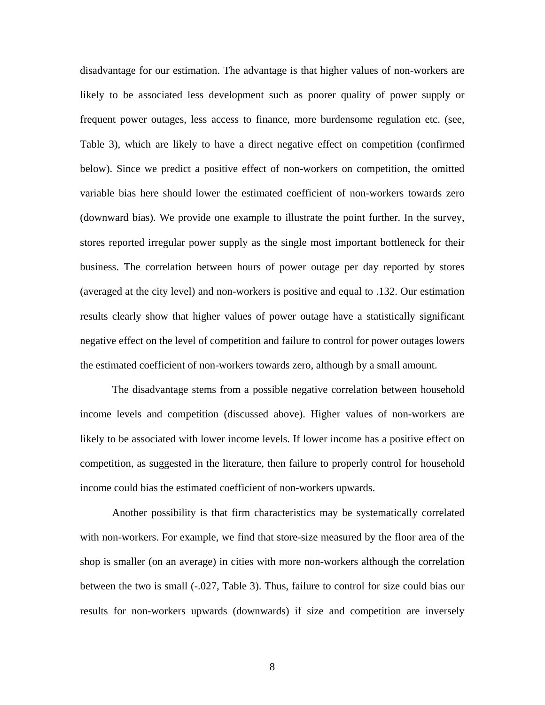disadvantage for our estimation. The advantage is that higher values of non-workers are likely to be associated less development such as poorer quality of power supply or frequent power outages, less access to finance, more burdensome regulation etc. (see, Table 3), which are likely to have a direct negative effect on competition (confirmed below). Since we predict a positive effect of non-workers on competition, the omitted variable bias here should lower the estimated coefficient of non-workers towards zero (downward bias). We provide one example to illustrate the point further. In the survey, stores reported irregular power supply as the single most important bottleneck for their business. The correlation between hours of power outage per day reported by stores (averaged at the city level) and non-workers is positive and equal to .132. Our estimation results clearly show that higher values of power outage have a statistically significant negative effect on the level of competition and failure to control for power outages lowers the estimated coefficient of non-workers towards zero, although by a small amount.

 The disadvantage stems from a possible negative correlation between household income levels and competition (discussed above). Higher values of non-workers are likely to be associated with lower income levels. If lower income has a positive effect on competition, as suggested in the literature, then failure to properly control for household income could bias the estimated coefficient of non-workers upwards.

 Another possibility is that firm characteristics may be systematically correlated with non-workers. For example, we find that store-size measured by the floor area of the shop is smaller (on an average) in cities with more non-workers although the correlation between the two is small (-.027, Table 3). Thus, failure to control for size could bias our results for non-workers upwards (downwards) if size and competition are inversely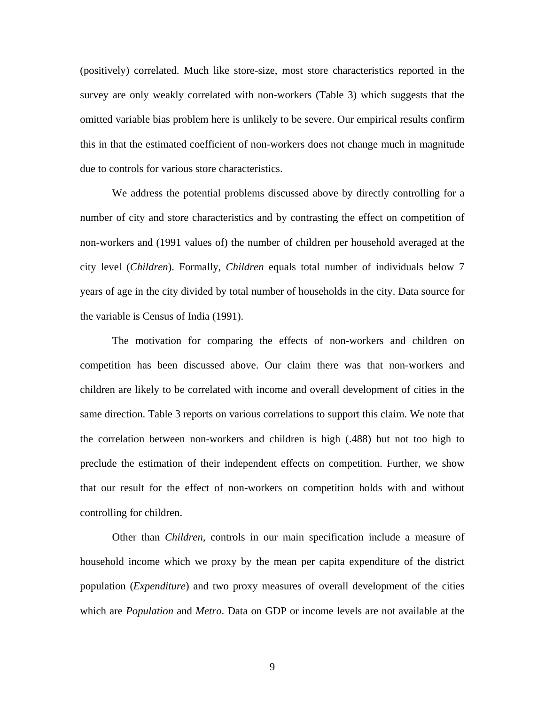(positively) correlated. Much like store-size, most store characteristics reported in the survey are only weakly correlated with non-workers (Table 3) which suggests that the omitted variable bias problem here is unlikely to be severe. Our empirical results confirm this in that the estimated coefficient of non-workers does not change much in magnitude due to controls for various store characteristics.

 We address the potential problems discussed above by directly controlling for a number of city and store characteristics and by contrasting the effect on competition of non-workers and (1991 values of) the number of children per household averaged at the city level (*Children*). Formally, *Children* equals total number of individuals below 7 years of age in the city divided by total number of households in the city. Data source for the variable is Census of India (1991).

The motivation for comparing the effects of non-workers and children on competition has been discussed above. Our claim there was that non-workers and children are likely to be correlated with income and overall development of cities in the same direction. Table 3 reports on various correlations to support this claim. We note that the correlation between non-workers and children is high (.488) but not too high to preclude the estimation of their independent effects on competition. Further, we show that our result for the effect of non-workers on competition holds with and without controlling for children.

 Other than *Children*, controls in our main specification include a measure of household income which we proxy by the mean per capita expenditure of the district population (*Expenditure*) and two proxy measures of overall development of the cities which are *Population* and *Metro*. Data on GDP or income levels are not available at the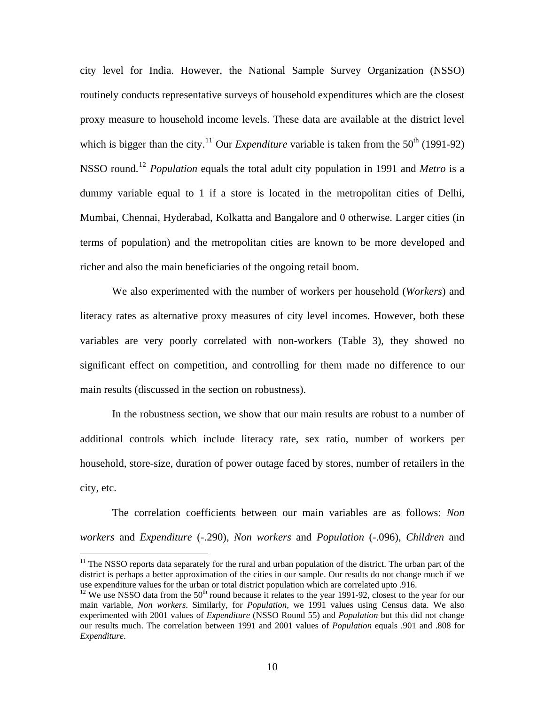city level for India. However, the National Sample Survey Organization (NSSO) routinely conducts representative surveys of household expenditures which are the closest proxy measure to household income levels. These data are available at the district level which is bigger than the city.<sup>[11](#page-12-0)</sup> Our *Expenditure* variable is taken from the  $50<sup>th</sup>$  (1991-92) NSSO round.[12](#page-12-1) *Population* equals the total adult city population in 1991 and *Metro* is a dummy variable equal to 1 if a store is located in the metropolitan cities of Delhi, Mumbai, Chennai, Hyderabad, Kolkatta and Bangalore and 0 otherwise. Larger cities (in terms of population) and the metropolitan cities are known to be more developed and richer and also the main beneficiaries of the ongoing retail boom.

We also experimented with the number of workers per household (*Workers*) and literacy rates as alternative proxy measures of city level incomes. However, both these variables are very poorly correlated with non-workers (Table 3), they showed no significant effect on competition, and controlling for them made no difference to our main results (discussed in the section on robustness).

In the robustness section, we show that our main results are robust to a number of additional controls which include literacy rate, sex ratio, number of workers per household, store-size, duration of power outage faced by stores, number of retailers in the city, etc.

 The correlation coefficients between our main variables are as follows: *Non workers* and *Expenditure* (-.290), *Non workers* and *Population* (-.096), *Children* and

<span id="page-12-0"></span><sup>&</sup>lt;sup>11</sup> The NSSO reports data separately for the rural and urban population of the district. The urban part of the district is perhaps a better approximation of the cities in our sample. Our results do not change much if we use expenditure values for the urban or total district population which are correlated upto .916.

<span id="page-12-1"></span> $12$  We use NSSO data from the 50<sup>th</sup> round because it relates to the year 1991-92, closest to the year for our main variable, *Non workers*. Similarly, for *Population*, we 1991 values using Census data. We also experimented with 2001 values of *Expenditure* (NSSO Round 55) and *Population* but this did not change our results much. The correlation between 1991 and 2001 values of *Population* equals .901 and .808 for *Expenditure*.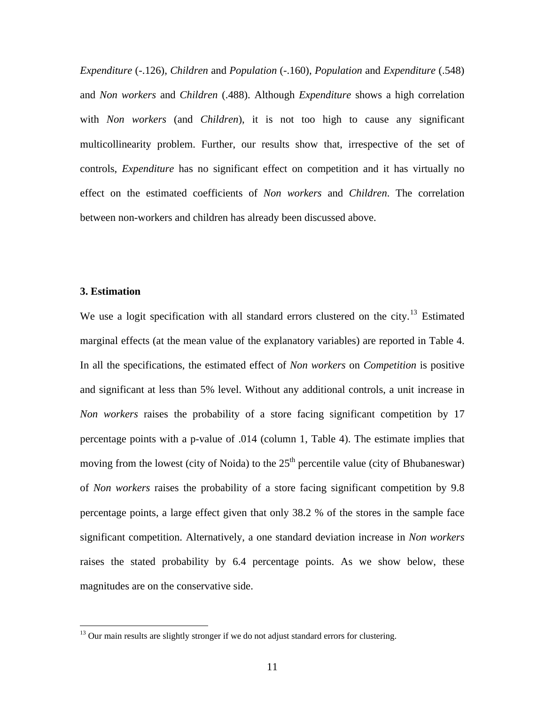*Expenditure* (-.126), *Children* and *Population* (-.160), *Population* and *Expenditure* (.548) and *Non workers* and *Children* (.488). Although *Expenditure* shows a high correlation with *Non workers* (and *Children*), it is not too high to cause any significant multicollinearity problem. Further, our results show that, irrespective of the set of controls, *Expenditure* has no significant effect on competition and it has virtually no effect on the estimated coefficients of *Non workers* and *Children*. The correlation between non-workers and children has already been discussed above.

#### **3. Estimation**

 $\overline{a}$ 

We use a logit specification with all standard errors clustered on the city.<sup>[13](#page-13-0)</sup> Estimated marginal effects (at the mean value of the explanatory variables) are reported in Table 4. In all the specifications, the estimated effect of *Non workers* on *Competition* is positive and significant at less than 5% level. Without any additional controls, a unit increase in *Non workers* raises the probability of a store facing significant competition by 17 percentage points with a p-value of .014 (column 1, Table 4). The estimate implies that moving from the lowest (city of Noida) to the  $25<sup>th</sup>$  percentile value (city of Bhubaneswar) of *Non workers* raises the probability of a store facing significant competition by 9.8 percentage points, a large effect given that only 38.2 % of the stores in the sample face significant competition. Alternatively, a one standard deviation increase in *Non workers* raises the stated probability by 6.4 percentage points. As we show below, these magnitudes are on the conservative side.

<span id="page-13-0"></span> $13$  Our main results are slightly stronger if we do not adjust standard errors for clustering.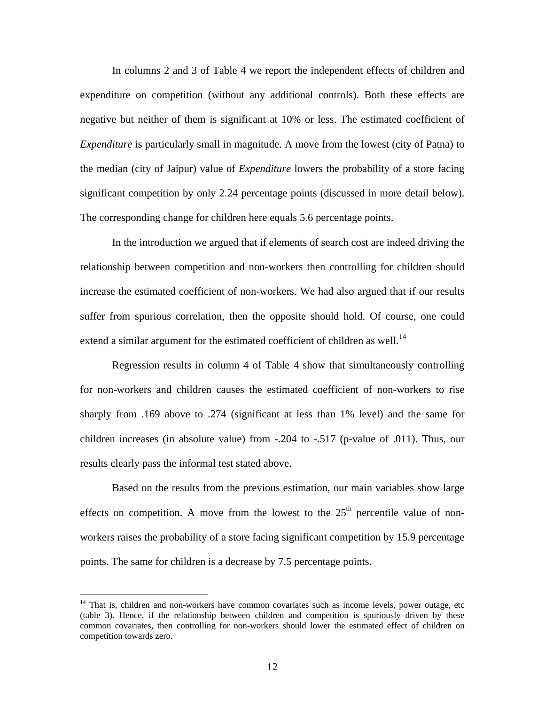In columns 2 and 3 of Table 4 we report the independent effects of children and expenditure on competition (without any additional controls). Both these effects are negative but neither of them is significant at 10% or less. The estimated coefficient of *Expenditure* is particularly small in magnitude. A move from the lowest (city of Patna) to the median (city of Jaipur) value of *Expenditure* lowers the probability of a store facing significant competition by only 2.24 percentage points (discussed in more detail below). The corresponding change for children here equals 5.6 percentage points.

 In the introduction we argued that if elements of search cost are indeed driving the relationship between competition and non-workers then controlling for children should increase the estimated coefficient of non-workers. We had also argued that if our results suffer from spurious correlation, then the opposite should hold. Of course, one could extend a similar argument for the estimated coefficient of children as well.<sup>[14](#page-14-0)</sup>

 Regression results in column 4 of Table 4 show that simultaneously controlling for non-workers and children causes the estimated coefficient of non-workers to rise sharply from .169 above to .274 (significant at less than 1% level) and the same for children increases (in absolute value) from -.204 to -.517 (p-value of .011). Thus, our results clearly pass the informal test stated above.

Based on the results from the previous estimation, our main variables show large effects on competition. A move from the lowest to the  $25<sup>th</sup>$  percentile value of nonworkers raises the probability of a store facing significant competition by 15.9 percentage points. The same for children is a decrease by 7.5 percentage points.

<span id="page-14-0"></span> $14$  That is, children and non-workers have common covariates such as income levels, power outage, etc (table 3). Hence, if the relationship between children and competition is spuriously driven by these common covariates, then controlling for non-workers should lower the estimated effect of children on competition towards zero.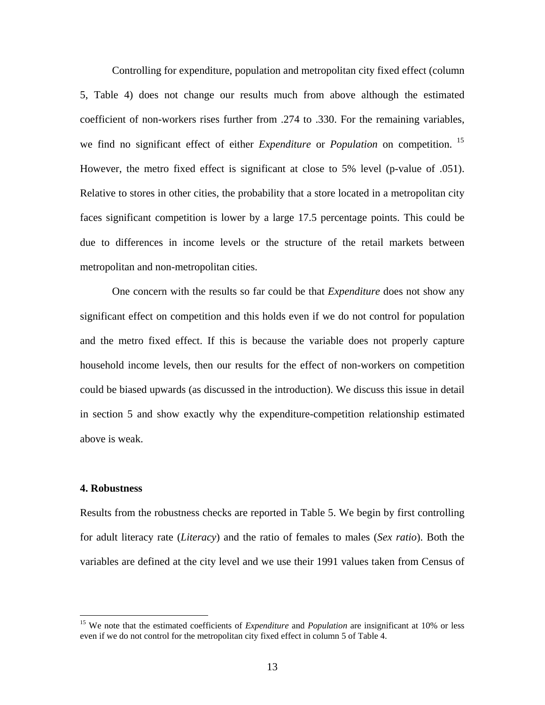Controlling for expenditure, population and metropolitan city fixed effect (column 5, Table 4) does not change our results much from above although the estimated coefficient of non-workers rises further from .274 to .330. For the remaining variables, we find no significant effect of either *Expenditure* or *Population* on competition. [15](#page-15-0) However, the metro fixed effect is significant at close to 5% level (p-value of .051). Relative to stores in other cities, the probability that a store located in a metropolitan city faces significant competition is lower by a large 17.5 percentage points. This could be due to differences in income levels or the structure of the retail markets between metropolitan and non-metropolitan cities.

One concern with the results so far could be that *Expenditure* does not show any significant effect on competition and this holds even if we do not control for population and the metro fixed effect. If this is because the variable does not properly capture household income levels, then our results for the effect of non-workers on competition could be biased upwards (as discussed in the introduction). We discuss this issue in detail in section 5 and show exactly why the expenditure-competition relationship estimated above is weak.

#### **4. Robustness**

1

Results from the robustness checks are reported in Table 5. We begin by first controlling for adult literacy rate (*Literacy*) and the ratio of females to males (*Sex ratio*). Both the variables are defined at the city level and we use their 1991 values taken from Census of

<span id="page-15-0"></span><sup>&</sup>lt;sup>15</sup> We note that the estimated coefficients of *Expenditure* and *Population* are insignificant at 10% or less even if we do not control for the metropolitan city fixed effect in column 5 of Table 4.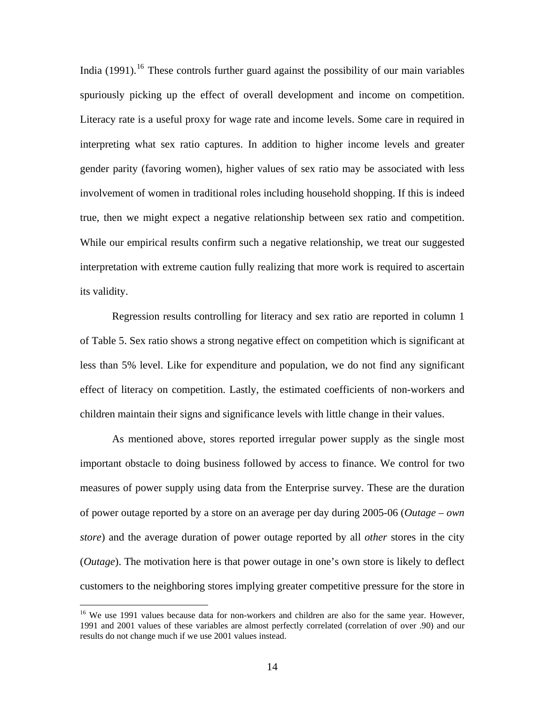India (1991).<sup>[16](#page-16-0)</sup> These controls further guard against the possibility of our main variables spuriously picking up the effect of overall development and income on competition. Literacy rate is a useful proxy for wage rate and income levels. Some care in required in interpreting what sex ratio captures. In addition to higher income levels and greater gender parity (favoring women), higher values of sex ratio may be associated with less involvement of women in traditional roles including household shopping. If this is indeed true, then we might expect a negative relationship between sex ratio and competition. While our empirical results confirm such a negative relationship, we treat our suggested interpretation with extreme caution fully realizing that more work is required to ascertain its validity.

 Regression results controlling for literacy and sex ratio are reported in column 1 of Table 5. Sex ratio shows a strong negative effect on competition which is significant at less than 5% level. Like for expenditure and population, we do not find any significant effect of literacy on competition. Lastly, the estimated coefficients of non-workers and children maintain their signs and significance levels with little change in their values.

 As mentioned above, stores reported irregular power supply as the single most important obstacle to doing business followed by access to finance. We control for two measures of power supply using data from the Enterprise survey. These are the duration of power outage reported by a store on an average per day during 2005-06 (*Outage* – *own store*) and the average duration of power outage reported by all *other* stores in the city (*Outage*). The motivation here is that power outage in one's own store is likely to deflect customers to the neighboring stores implying greater competitive pressure for the store in

1

<span id="page-16-0"></span><sup>&</sup>lt;sup>16</sup> We use 1991 values because data for non-workers and children are also for the same year. However, 1991 and 2001 values of these variables are almost perfectly correlated (correlation of over .90) and our results do not change much if we use 2001 values instead.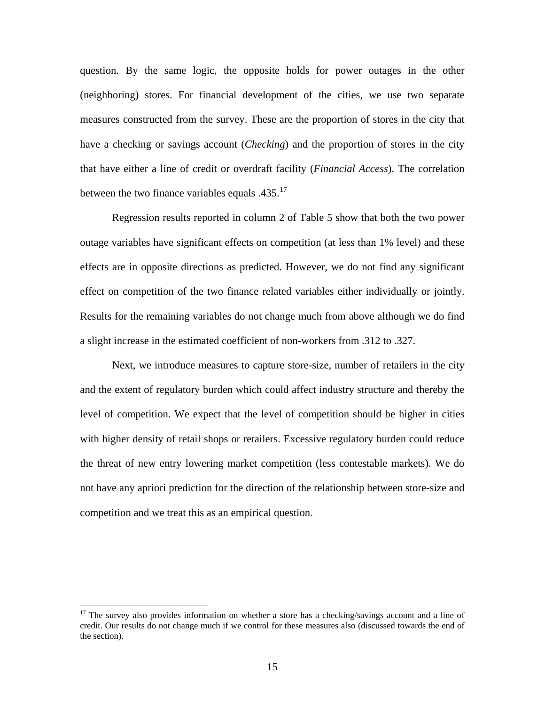question. By the same logic, the opposite holds for power outages in the other (neighboring) stores. For financial development of the cities, we use two separate measures constructed from the survey. These are the proportion of stores in the city that have a checking or savings account (*Checking*) and the proportion of stores in the city that have either a line of credit or overdraft facility (*Financial Access*). The correlation between the two finance variables equals .435.<sup>[17](#page-17-0)</sup>

 Regression results reported in column 2 of Table 5 show that both the two power outage variables have significant effects on competition (at less than 1% level) and these effects are in opposite directions as predicted. However, we do not find any significant effect on competition of the two finance related variables either individually or jointly. Results for the remaining variables do not change much from above although we do find a slight increase in the estimated coefficient of non-workers from .312 to .327.

 Next, we introduce measures to capture store-size, number of retailers in the city and the extent of regulatory burden which could affect industry structure and thereby the level of competition. We expect that the level of competition should be higher in cities with higher density of retail shops or retailers. Excessive regulatory burden could reduce the threat of new entry lowering market competition (less contestable markets). We do not have any apriori prediction for the direction of the relationship between store-size and competition and we treat this as an empirical question.

<span id="page-17-0"></span><sup>&</sup>lt;sup>17</sup> The survey also provides information on whether a store has a checking/savings account and a line of credit. Our results do not change much if we control for these measures also (discussed towards the end of the section).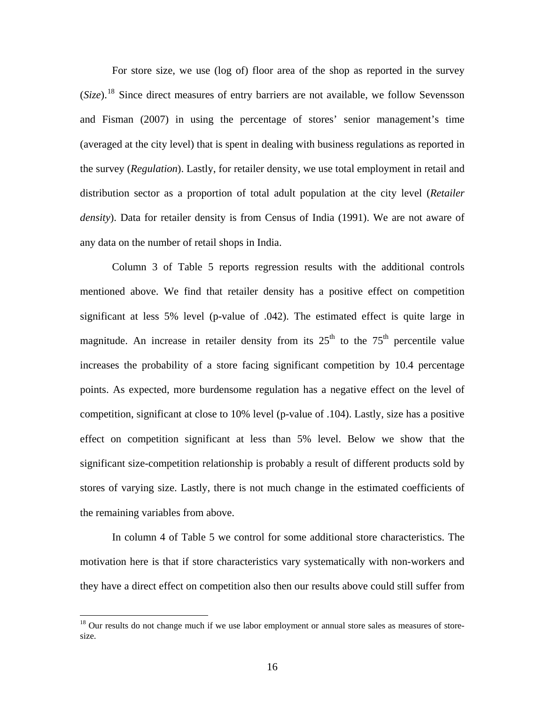For store size, we use (log of) floor area of the shop as reported in the survey (*Size*).[18](#page-18-0) Since direct measures of entry barriers are not available, we follow Sevensson and Fisman (2007) in using the percentage of stores' senior management's time (averaged at the city level) that is spent in dealing with business regulations as reported in the survey (*Regulation*). Lastly, for retailer density, we use total employment in retail and distribution sector as a proportion of total adult population at the city level (*Retailer density*). Data for retailer density is from Census of India (1991). We are not aware of any data on the number of retail shops in India.

 Column 3 of Table 5 reports regression results with the additional controls mentioned above. We find that retailer density has a positive effect on competition significant at less 5% level (p-value of .042). The estimated effect is quite large in magnitude. An increase in retailer density from its  $25<sup>th</sup>$  to the  $75<sup>th</sup>$  percentile value increases the probability of a store facing significant competition by 10.4 percentage points. As expected, more burdensome regulation has a negative effect on the level of competition, significant at close to 10% level (p-value of .104). Lastly, size has a positive effect on competition significant at less than 5% level. Below we show that the significant size-competition relationship is probably a result of different products sold by stores of varying size. Lastly, there is not much change in the estimated coefficients of the remaining variables from above.

 In column 4 of Table 5 we control for some additional store characteristics. The motivation here is that if store characteristics vary systematically with non-workers and they have a direct effect on competition also then our results above could still suffer from

<span id="page-18-0"></span><sup>&</sup>lt;sup>18</sup> Our results do not change much if we use labor employment or annual store sales as measures of storesize.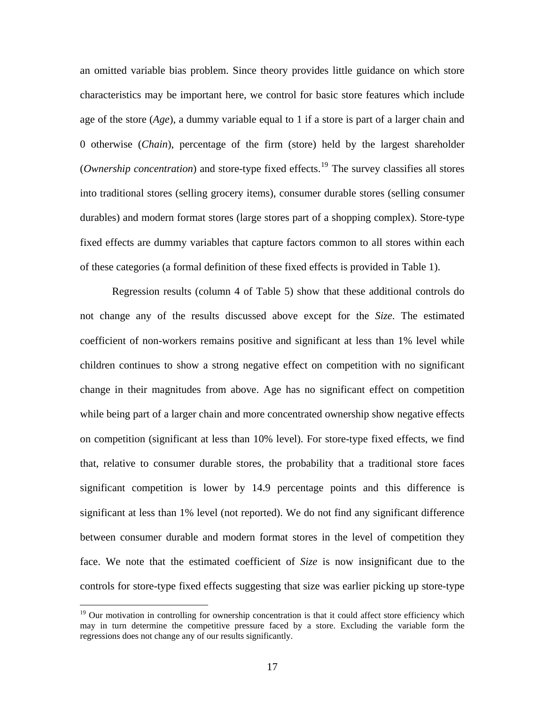an omitted variable bias problem. Since theory provides little guidance on which store characteristics may be important here, we control for basic store features which include age of the store (*Age*), a dummy variable equal to 1 if a store is part of a larger chain and 0 otherwise (*Chain*), percentage of the firm (store) held by the largest shareholder (*Ownership concentration*) and store-type fixed effects.<sup>[19](#page-19-0)</sup> The survey classifies all stores into traditional stores (selling grocery items), consumer durable stores (selling consumer durables) and modern format stores (large stores part of a shopping complex). Store-type fixed effects are dummy variables that capture factors common to all stores within each of these categories (a formal definition of these fixed effects is provided in Table 1).

 Regression results (column 4 of Table 5) show that these additional controls do not change any of the results discussed above except for the *Size*. The estimated coefficient of non-workers remains positive and significant at less than 1% level while children continues to show a strong negative effect on competition with no significant change in their magnitudes from above. Age has no significant effect on competition while being part of a larger chain and more concentrated ownership show negative effects on competition (significant at less than 10% level). For store-type fixed effects, we find that, relative to consumer durable stores, the probability that a traditional store faces significant competition is lower by 14.9 percentage points and this difference is significant at less than 1% level (not reported). We do not find any significant difference between consumer durable and modern format stores in the level of competition they face. We note that the estimated coefficient of *Size* is now insignificant due to the controls for store-type fixed effects suggesting that size was earlier picking up store-type

<span id="page-19-0"></span><sup>&</sup>lt;sup>19</sup> Our motivation in controlling for ownership concentration is that it could affect store efficiency which may in turn determine the competitive pressure faced by a store. Excluding the variable form the regressions does not change any of our results significantly.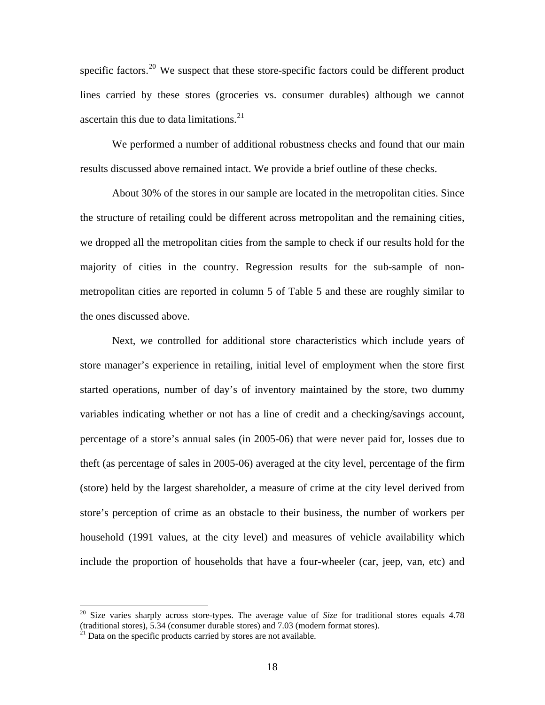specific factors.<sup>[20](#page-20-0)</sup> We suspect that these store-specific factors could be different product lines carried by these stores (groceries vs. consumer durables) although we cannot ascertain this due to data limitations. $^{21}$  $^{21}$  $^{21}$ 

 We performed a number of additional robustness checks and found that our main results discussed above remained intact. We provide a brief outline of these checks.

 About 30% of the stores in our sample are located in the metropolitan cities. Since the structure of retailing could be different across metropolitan and the remaining cities, we dropped all the metropolitan cities from the sample to check if our results hold for the majority of cities in the country. Regression results for the sub-sample of nonmetropolitan cities are reported in column 5 of Table 5 and these are roughly similar to the ones discussed above.

 Next, we controlled for additional store characteristics which include years of store manager's experience in retailing, initial level of employment when the store first started operations, number of day's of inventory maintained by the store, two dummy variables indicating whether or not has a line of credit and a checking/savings account, percentage of a store's annual sales (in 2005-06) that were never paid for, losses due to theft (as percentage of sales in 2005-06) averaged at the city level, percentage of the firm (store) held by the largest shareholder, a measure of crime at the city level derived from store's perception of crime as an obstacle to their business, the number of workers per household (1991 values, at the city level) and measures of vehicle availability which include the proportion of households that have a four-wheeler (car, jeep, van, etc) and

<span id="page-20-0"></span><sup>20</sup> Size varies sharply across store-types. The average value of *Size* for traditional stores equals 4.78 (traditional stores),  $5.34$  (consumer durable stores) and  $7.03$  (modern format stores). <sup>21</sup> Data on the specific products carried by stores are not available.

<span id="page-20-1"></span>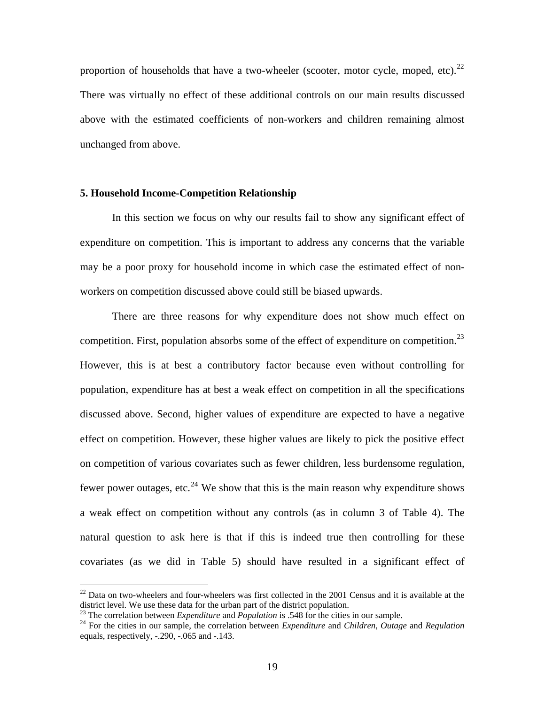proportion of households that have a two-wheeler (scooter, motor cycle, moped, etc). $^{22}$  $^{22}$  $^{22}$ There was virtually no effect of these additional controls on our main results discussed above with the estimated coefficients of non-workers and children remaining almost unchanged from above.

#### **5. Household Income-Competition Relationship**

 In this section we focus on why our results fail to show any significant effect of expenditure on competition. This is important to address any concerns that the variable may be a poor proxy for household income in which case the estimated effect of nonworkers on competition discussed above could still be biased upwards.

 There are three reasons for why expenditure does not show much effect on competition. First, population absorbs some of the effect of expenditure on competition.<sup>[23](#page-21-1)</sup> However, this is at best a contributory factor because even without controlling for population, expenditure has at best a weak effect on competition in all the specifications discussed above. Second, higher values of expenditure are expected to have a negative effect on competition. However, these higher values are likely to pick the positive effect on competition of various covariates such as fewer children, less burdensome regulation, fewer power outages, etc.<sup>[24](#page-21-2)</sup> We show that this is the main reason why expenditure shows a weak effect on competition without any controls (as in column 3 of Table 4). The natural question to ask here is that if this is indeed true then controlling for these covariates (as we did in Table 5) should have resulted in a significant effect of

<span id="page-21-0"></span> $^{22}$  Data on two-wheelers and four-wheelers was first collected in the 2001 Census and it is available at the district level. We use these data for the urban part of the district population.<br><sup>23</sup> The correlation between *Expenditure* and *Population* is .548 for the cities in our sample.

<span id="page-21-1"></span>

<span id="page-21-2"></span><sup>&</sup>lt;sup>24</sup> For the cities in our sample, the correlation between *Expenditure* and *Children*, *Outage* and *Regulation* equals, respectively, -.290, -.065 and -.143.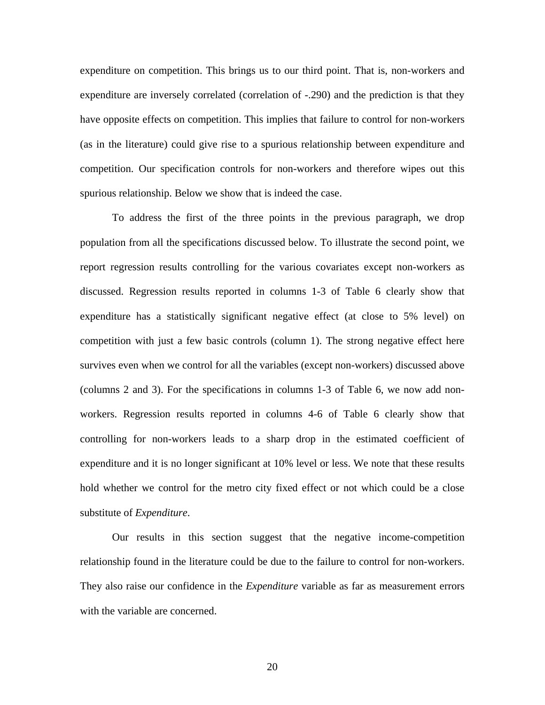expenditure on competition. This brings us to our third point. That is, non-workers and expenditure are inversely correlated (correlation of -.290) and the prediction is that they have opposite effects on competition. This implies that failure to control for non-workers (as in the literature) could give rise to a spurious relationship between expenditure and competition. Our specification controls for non-workers and therefore wipes out this spurious relationship. Below we show that is indeed the case.

 To address the first of the three points in the previous paragraph, we drop population from all the specifications discussed below. To illustrate the second point, we report regression results controlling for the various covariates except non-workers as discussed. Regression results reported in columns 1-3 of Table 6 clearly show that expenditure has a statistically significant negative effect (at close to 5% level) on competition with just a few basic controls (column 1). The strong negative effect here survives even when we control for all the variables (except non-workers) discussed above (columns 2 and 3). For the specifications in columns 1-3 of Table 6, we now add nonworkers. Regression results reported in columns 4-6 of Table 6 clearly show that controlling for non-workers leads to a sharp drop in the estimated coefficient of expenditure and it is no longer significant at 10% level or less. We note that these results hold whether we control for the metro city fixed effect or not which could be a close substitute of *Expenditure*.

Our results in this section suggest that the negative income-competition relationship found in the literature could be due to the failure to control for non-workers. They also raise our confidence in the *Expenditure* variable as far as measurement errors with the variable are concerned.

20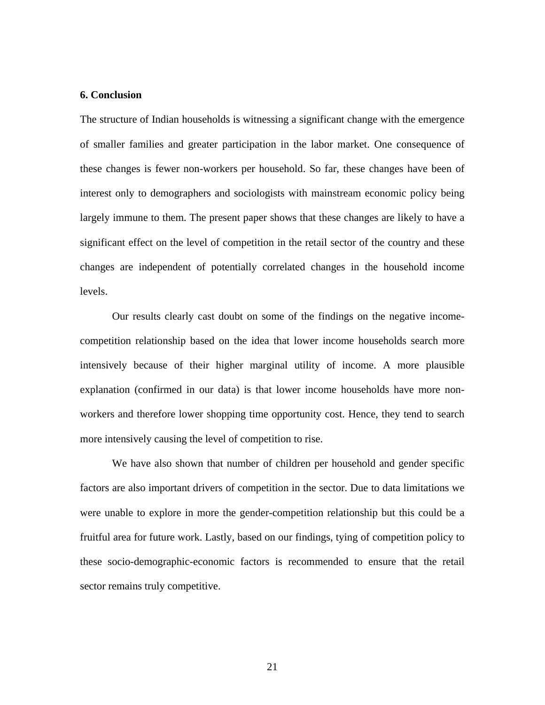#### **6. Conclusion**

The structure of Indian households is witnessing a significant change with the emergence of smaller families and greater participation in the labor market. One consequence of these changes is fewer non-workers per household. So far, these changes have been of interest only to demographers and sociologists with mainstream economic policy being largely immune to them. The present paper shows that these changes are likely to have a significant effect on the level of competition in the retail sector of the country and these changes are independent of potentially correlated changes in the household income levels.

Our results clearly cast doubt on some of the findings on the negative incomecompetition relationship based on the idea that lower income households search more intensively because of their higher marginal utility of income. A more plausible explanation (confirmed in our data) is that lower income households have more nonworkers and therefore lower shopping time opportunity cost. Hence, they tend to search more intensively causing the level of competition to rise.

We have also shown that number of children per household and gender specific factors are also important drivers of competition in the sector. Due to data limitations we were unable to explore in more the gender-competition relationship but this could be a fruitful area for future work. Lastly, based on our findings, tying of competition policy to these socio-demographic-economic factors is recommended to ensure that the retail sector remains truly competitive.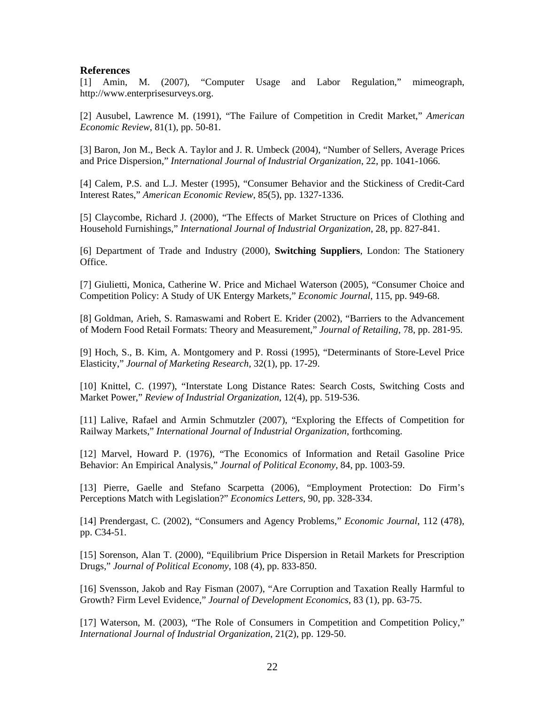#### **References**

[1] Amin, M. (2007), "Computer Usage and Labor Regulation," mimeograph, http://www.enterprisesurveys.org.

[2] Ausubel, Lawrence M. (1991), "The Failure of Competition in Credit Market," *American Economic Review*, 81(1), pp. 50-81.

[3] Baron, Jon M., Beck A. Taylor and J. R. Umbeck (2004), "Number of Sellers, Average Prices and Price Dispersion," *International Journal of Industrial Organization*, 22, pp. 1041-1066.

[4] Calem, P.S. and L.J. Mester (1995), "Consumer Behavior and the Stickiness of Credit-Card Interest Rates," *American Economic Review*, 85(5), pp. 1327-1336.

[5] Claycombe, Richard J. (2000), "The Effects of Market Structure on Prices of Clothing and Household Furnishings," *International Journal of Industrial Organization*, 28, pp. 827-841.

[6] Department of Trade and Industry (2000), **Switching Suppliers**, London: The Stationery Office.

[7] Giulietti, Monica, Catherine W. Price and Michael Waterson (2005), "Consumer Choice and Competition Policy: A Study of UK Entergy Markets," *Economic Journal*, 115, pp. 949-68.

[8] Goldman, Arieh, S. Ramaswami and Robert E. Krider (2002), "Barriers to the Advancement of Modern Food Retail Formats: Theory and Measurement," *Journal of Retailing*, 78, pp. 281-95.

[9] Hoch, S., B. Kim, A. Montgomery and P. Rossi (1995), "Determinants of Store-Level Price Elasticity," *Journal of Marketing Research*, 32(1), pp. 17-29.

[10] Knittel, C. (1997), "Interstate Long Distance Rates: Search Costs, Switching Costs and Market Power," *Review of Industrial Organization*, 12(4), pp. 519-536.

[11] Lalive, Rafael and Armin Schmutzler (2007), "Exploring the Effects of Competition for Railway Markets," *International Journal of Industrial Organization*, forthcoming.

[12] Marvel, Howard P. (1976), "The Economics of Information and Retail Gasoline Price Behavior: An Empirical Analysis," *Journal of Political Economy*, 84, pp. 1003-59.

[13] Pierre, Gaelle and Stefano Scarpetta (2006), "Employment Protection: Do Firm's Perceptions Match with Legislation?" *Economics Letters*, 90, pp. 328-334.

[14] Prendergast, C. (2002), "Consumers and Agency Problems," *Economic Journal*, 112 (478), pp. C34-51.

[15] Sorenson, Alan T. (2000), "Equilibrium Price Dispersion in Retail Markets for Prescription Drugs," *Journal of Political Economy*, 108 (4), pp. 833-850.

[16] Svensson, Jakob and Ray Fisman (2007), "Are Corruption and Taxation Really Harmful to Growth? Firm Level Evidence," *Journal of Development Economics*, 83 (1), pp. 63-75.

[17] Waterson, M. (2003), "The Role of Consumers in Competition and Competition Policy," *International Journal of Industrial Organization*, 21(2), pp. 129-50.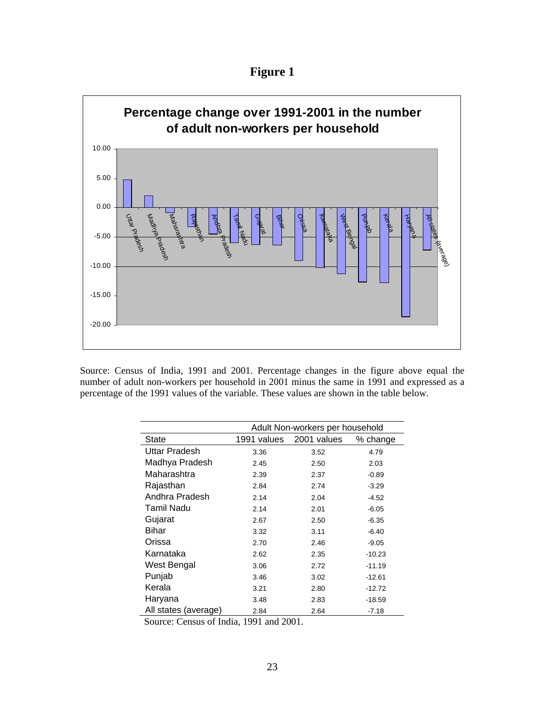**Figure 1** 



Source: Census of India, 1991 and 2001. Percentage changes in the figure above equal the number of adult non-workers per household in 2001 minus the same in 1991 and expressed as a percentage of the 1991 values of the variable. These values are shown in the table below.

|                      | Adult Non-workers per household |             |          |  |  |
|----------------------|---------------------------------|-------------|----------|--|--|
| State                | 1991 values                     | 2001 values | % change |  |  |
| <b>Uttar Pradesh</b> | 3.36                            | 3.52        | 4.79     |  |  |
| Madhya Pradesh       | 2.45                            | 2.50        | 2.03     |  |  |
| Maharashtra          | 2.39                            | 2.37        | $-0.89$  |  |  |
| Rajasthan            | 2.84                            | 2.74        | $-3.29$  |  |  |
| Andhra Pradesh       | 2.14                            | 2.04        | $-4.52$  |  |  |
| Tamil Nadu           | 2.14                            | 2.01        | $-6.05$  |  |  |
| Gujarat              | 2.67                            | 2.50        | $-6.35$  |  |  |
| Bihar                | 3.32                            | 3.11        | $-6.40$  |  |  |
| Orissa               | 2.70                            | 2.46        | $-9.05$  |  |  |
| Karnataka            | 2.62                            | 2.35        | $-10.23$ |  |  |
| West Bengal          | 3.06                            | 2.72        | $-11.19$ |  |  |
| Punjab               | 3.46                            | 3.02        | $-12.61$ |  |  |
| Kerala               | 3.21                            | 2.80        | $-12.72$ |  |  |
| Haryana              | 3.48                            | 2.83        | $-18.59$ |  |  |
| All states (average) | 2.84                            | 2.64        | $-7.18$  |  |  |

Source: Census of India, 1991 and 2001.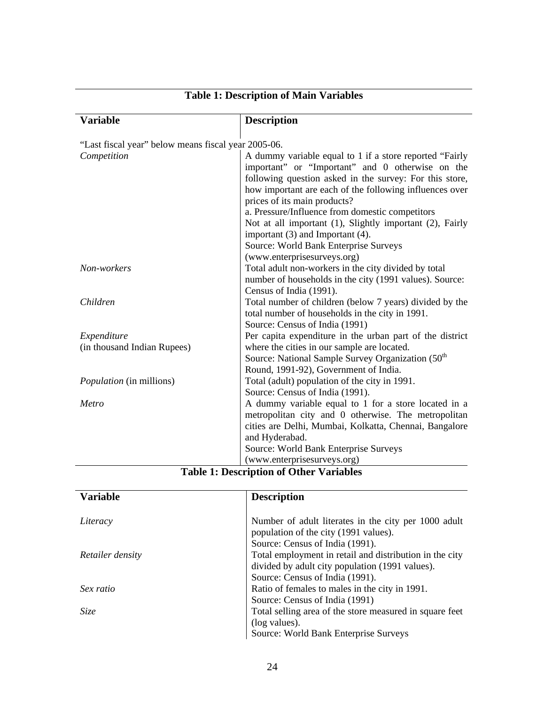| <b>Variable</b>                                     | <b>Description</b>                                                                                                                                                                                                                                                                                                                                                                                                                                            |
|-----------------------------------------------------|---------------------------------------------------------------------------------------------------------------------------------------------------------------------------------------------------------------------------------------------------------------------------------------------------------------------------------------------------------------------------------------------------------------------------------------------------------------|
| "Last fiscal year" below means fiscal year 2005-06. |                                                                                                                                                                                                                                                                                                                                                                                                                                                               |
| Competition                                         | A dummy variable equal to 1 if a store reported "Fairly<br>important" or "Important" and 0 otherwise on the<br>following question asked in the survey: For this store,<br>how important are each of the following influences over<br>prices of its main products?<br>a. Pressure/Influence from domestic competitors<br>Not at all important (1), Slightly important (2), Fairly<br>important (3) and Important (4).<br>Source: World Bank Enterprise Surveys |
| Non-workers                                         | (www.enterprisesurveys.org)<br>Total adult non-workers in the city divided by total                                                                                                                                                                                                                                                                                                                                                                           |
|                                                     | number of households in the city (1991 values). Source:<br>Census of India (1991).                                                                                                                                                                                                                                                                                                                                                                            |
| Children                                            | Total number of children (below 7 years) divided by the<br>total number of households in the city in 1991.<br>Source: Census of India (1991)                                                                                                                                                                                                                                                                                                                  |
| Expenditure                                         | Per capita expenditure in the urban part of the district                                                                                                                                                                                                                                                                                                                                                                                                      |
| (in thousand Indian Rupees)                         | where the cities in our sample are located.<br>Source: National Sample Survey Organization (50 <sup>th</sup><br>Round, 1991-92), Government of India.                                                                                                                                                                                                                                                                                                         |
| Population (in millions)                            | Total (adult) population of the city in 1991.<br>Source: Census of India (1991).                                                                                                                                                                                                                                                                                                                                                                              |
| Metro                                               | A dummy variable equal to 1 for a store located in a<br>metropolitan city and 0 otherwise. The metropolitan<br>cities are Delhi, Mumbai, Kolkatta, Chennai, Bangalore<br>and Hyderabad.                                                                                                                                                                                                                                                                       |
|                                                     | Source: World Bank Enterprise Surveys                                                                                                                                                                                                                                                                                                                                                                                                                         |
|                                                     | (www.enterprisesurveys.org)<br>Tekle 1. Desember of Other Verichles                                                                                                                                                                                                                                                                                                                                                                                           |

## **Table 1: Description of Main Variables**

| <b>Table 1: Description of Other Variables</b> |  |  |
|------------------------------------------------|--|--|
|------------------------------------------------|--|--|

| <b>Variable</b>  | <b>Description</b>                                      |
|------------------|---------------------------------------------------------|
|                  |                                                         |
| Literacy         | Number of adult literates in the city per 1000 adult    |
|                  | population of the city (1991 values).                   |
|                  | Source: Census of India (1991).                         |
| Retailer density | Total employment in retail and distribution in the city |
|                  | divided by adult city population (1991 values).         |
|                  | Source: Census of India (1991).                         |
| Sex ratio        | Ratio of females to males in the city in 1991.          |
|                  | Source: Census of India (1991)                          |
| Size             | Total selling area of the store measured in square feet |
|                  | (log values).                                           |
|                  | Source: World Bank Enterprise Surveys                   |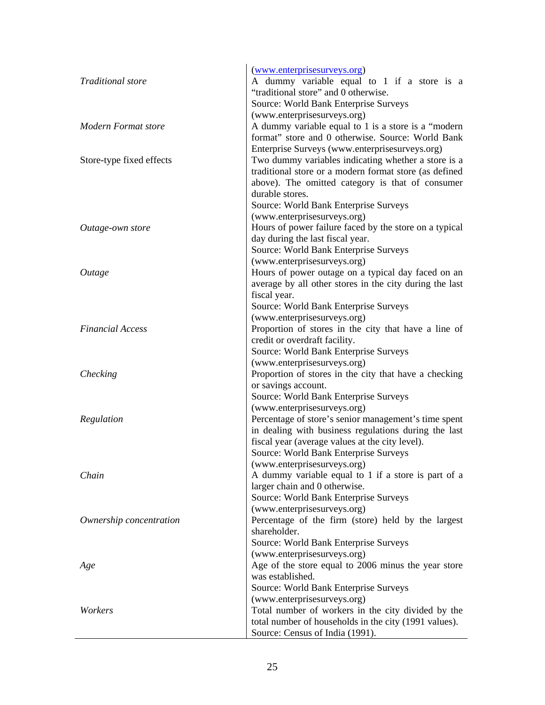|                          | (www.enterprisesurveys.org)                             |
|--------------------------|---------------------------------------------------------|
| <b>Traditional</b> store | A dummy variable equal to 1 if a store is a             |
|                          | "traditional store" and 0 otherwise.                    |
|                          | Source: World Bank Enterprise Surveys                   |
|                          | (www.enterprisesurveys.org)                             |
| Modern Format store      | A dummy variable equal to 1 is a store is a "modern"    |
|                          | format" store and 0 otherwise. Source: World Bank       |
|                          | Enterprise Surveys (www.enterprisesurveys.org)          |
| Store-type fixed effects | Two dummy variables indicating whether a store is a     |
|                          | traditional store or a modern format store (as defined  |
|                          | above). The omitted category is that of consumer        |
|                          | durable stores.                                         |
|                          | Source: World Bank Enterprise Surveys                   |
|                          | (www.enterprisesurveys.org)                             |
|                          | Hours of power failure faced by the store on a typical  |
| Outage-own store         |                                                         |
|                          | day during the last fiscal year.                        |
|                          | Source: World Bank Enterprise Surveys                   |
|                          | (www.enterprisesurveys.org)                             |
| Outage                   | Hours of power outage on a typical day faced on an      |
|                          | average by all other stores in the city during the last |
|                          | fiscal year.                                            |
|                          | Source: World Bank Enterprise Surveys                   |
|                          | (www.enterprisesurveys.org)                             |
| <b>Financial Access</b>  | Proportion of stores in the city that have a line of    |
|                          | credit or overdraft facility.                           |
|                          | Source: World Bank Enterprise Surveys                   |
|                          | (www.enterprisesurveys.org)                             |
| Checking                 | Proportion of stores in the city that have a checking   |
|                          | or savings account.                                     |
|                          | Source: World Bank Enterprise Surveys                   |
|                          | (www.enterprisesurveys.org)                             |
| Regulation               | Percentage of store's senior management's time spent    |
|                          | in dealing with business regulations during the last    |
|                          | fiscal year (average values at the city level).         |
|                          | Source: World Bank Enterprise Surveys                   |
|                          | (www.enterprisesurveys.org)                             |
| Chain                    | A dummy variable equal to 1 if a store is part of a     |
|                          | larger chain and 0 otherwise.                           |
|                          | Source: World Bank Enterprise Surveys                   |
|                          | (www.enterprisesurveys.org)                             |
| Ownership concentration  | Percentage of the firm (store) held by the largest      |
|                          | shareholder.                                            |
|                          | Source: World Bank Enterprise Surveys                   |
|                          | (www.enterprisesurveys.org)                             |
| Age                      | Age of the store equal to 2006 minus the year store     |
|                          | was established.                                        |
|                          | Source: World Bank Enterprise Surveys                   |
|                          | (www.enterprisesurveys.org)                             |
| Workers                  | Total number of workers in the city divided by the      |
|                          | total number of households in the city (1991 values).   |
|                          | Source: Census of India (1991).                         |
|                          |                                                         |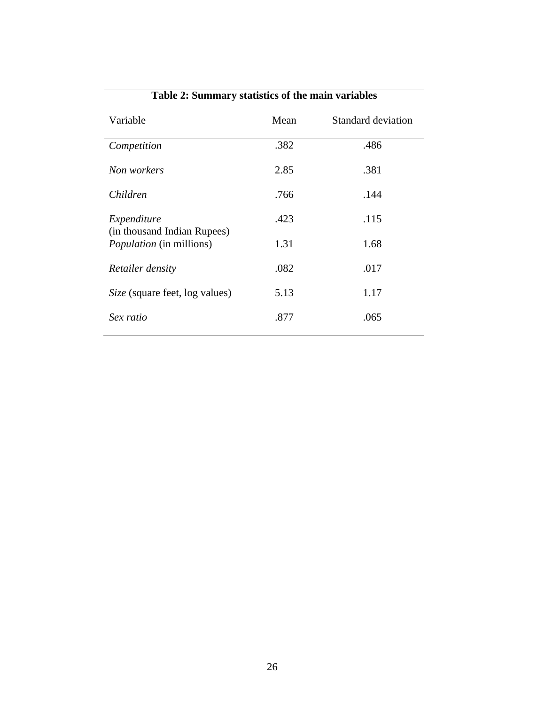| Variable                                                       | Mean | <b>Standard deviation</b> |
|----------------------------------------------------------------|------|---------------------------|
| Competition                                                    | .382 | .486                      |
| Non workers                                                    | 2.85 | .381                      |
| Children                                                       | .766 | .144                      |
| Expenditure                                                    | .423 | .115                      |
| (in thousand Indian Rupees)<br><i>Population</i> (in millions) | 1.31 | 1.68                      |
| Retailer density                                               | .082 | .017                      |
| Size (square feet, log values)                                 | 5.13 | 1.17                      |
| Sex ratio                                                      | .877 | .065                      |
|                                                                |      |                           |

## **Table 2: Summary statistics of the main variables**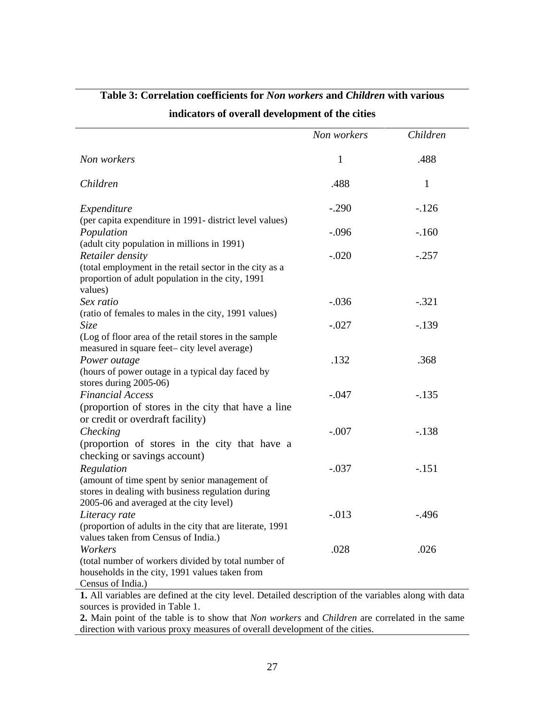|                                                                                                                                               | Non workers | Children     |
|-----------------------------------------------------------------------------------------------------------------------------------------------|-------------|--------------|
| Non workers                                                                                                                                   | 1           | .488         |
| Children                                                                                                                                      | .488        | $\mathbf{1}$ |
| Expenditure                                                                                                                                   | $-.290$     | $-.126$      |
| (per capita expenditure in 1991- district level values)<br>Population                                                                         | $-.096$     | $-.160$      |
| (adult city population in millions in 1991)<br>Retailer density                                                                               | $-.020$     | $-.257$      |
| (total employment in the retail sector in the city as a<br>proportion of adult population in the city, 1991<br>values)                        |             |              |
| Sex ratio                                                                                                                                     | $-.036$     | $-.321$      |
| (ratio of females to males in the city, 1991 values)<br><i>Size</i>                                                                           | $-.027$     | $-.139$      |
| (Log of floor area of the retail stores in the sample<br>measured in square feet-city level average)<br>Power outage                          | .132        | .368         |
| (hours of power outage in a typical day faced by<br>stores during 2005-06)<br><b>Financial Access</b>                                         | $-.047$     | $-.135$      |
| (proportion of stores in the city that have a line<br>or credit or overdraft facility)                                                        |             |              |
| Checking<br>(proportion of stores in the city that have a                                                                                     | $-.007$     | $-.138$      |
| checking or savings account)<br>Regulation                                                                                                    | $-.037$     | $-.151$      |
| (amount of time spent by senior management of<br>stores in dealing with business regulation during<br>2005-06 and averaged at the city level) |             |              |
| Literacy rate<br>(proportion of adults in the city that are literate, 1991                                                                    | $-.013$     | $-.496$      |
| values taken from Census of India.)<br>Workers<br>(total number of workers divided by total number of                                         | .028        | .026         |
| households in the city, 1991 values taken from<br>Census of India.)                                                                           |             |              |
| 1. All variables are defined at the city level. Detailed description of the variables along with data                                         |             |              |

## **Table 3: Correlation coefficients for** *Non workers* **and** *Children* **with various**

**indicators of overall development of the cities**

sources is provided in Table 1.

**2.** Main point of the table is to show that *Non workers* and *Children* are correlated in the same direction with various proxy measures of overall development of the cities.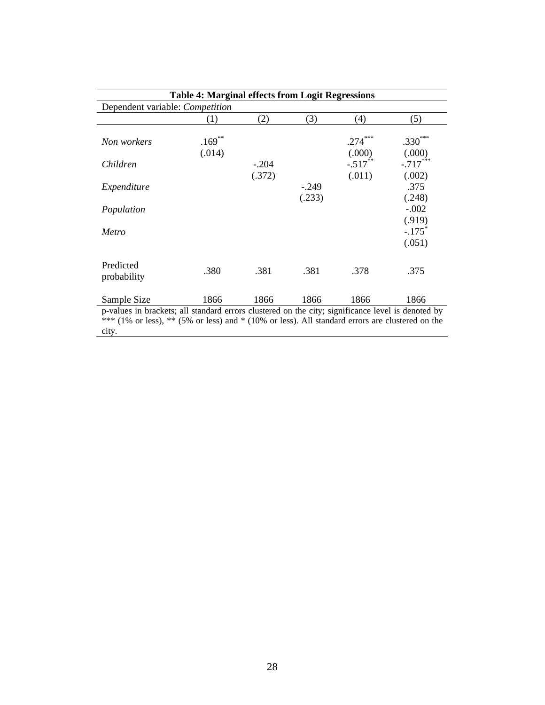| <b>Table 4: Marginal effects from Logit Regressions</b>                                                                                                                                                                |                     |         |                   |                     |                                          |
|------------------------------------------------------------------------------------------------------------------------------------------------------------------------------------------------------------------------|---------------------|---------|-------------------|---------------------|------------------------------------------|
| Dependent variable: Competition                                                                                                                                                                                        |                     |         |                   |                     |                                          |
|                                                                                                                                                                                                                        | (1)                 | (2)     | (3)               | (4)                 | (5)                                      |
| Non workers                                                                                                                                                                                                            | $.169***$<br>(.014) |         |                   | $.274***$<br>(.000) | $.330***$<br>(.000)                      |
| Children                                                                                                                                                                                                               |                     | $-.204$ |                   | $-.517***$          | $-.717***$                               |
| Expenditure                                                                                                                                                                                                            |                     | (.372)  | $-.249$<br>(.233) | (.011)              | (.002)<br>.375<br>(.248)                 |
| Population                                                                                                                                                                                                             |                     |         |                   |                     | $-.002$                                  |
| Metro                                                                                                                                                                                                                  |                     |         |                   |                     | (.919)<br>$-.175$ <sup>*</sup><br>(.051) |
| Predicted<br>probability                                                                                                                                                                                               | .380                | .381    | .381              | .378                | .375                                     |
| Sample Size                                                                                                                                                                                                            | 1866                | 1866    | 1866              | 1866                | 1866                                     |
| p-values in brackets; all standard errors clustered on the city; significance level is denoted by<br>*** $(1\%$ or less), ** $(5\%$ or less) and * $(10\%$ or less). All standard errors are clustered on the<br>city. |                     |         |                   |                     |                                          |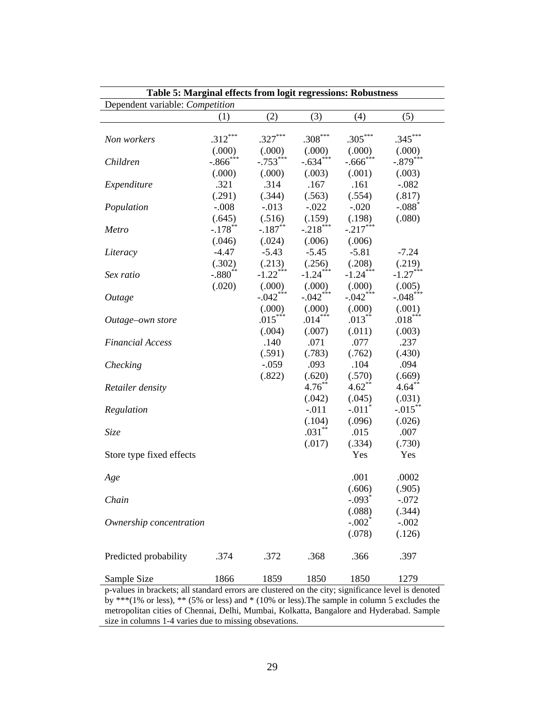| Table 5: Marginal effects from logit regressions: Robustness                                       |                        |                        |            |                        |                      |  |
|----------------------------------------------------------------------------------------------------|------------------------|------------------------|------------|------------------------|----------------------|--|
| Dependent variable: Competition                                                                    |                        |                        |            |                        |                      |  |
|                                                                                                    | (1)                    | (2)                    | (3)        | (4)                    | (5)                  |  |
|                                                                                                    |                        |                        |            |                        |                      |  |
| Non workers                                                                                        | $.312***$              | $.327***$              | $.308***$  | $.305***$              | $.345***$            |  |
|                                                                                                    | (000)                  | (.000)                 | (.000)     | (.000)                 | (.000)               |  |
| Children                                                                                           | $-.866$ <sup>***</sup> | $-.753***$             | $-.634***$ | $-.666$ <sup>***</sup> | $-.879***$           |  |
|                                                                                                    | (.000)                 | (.000)                 | (.003)     | (.001)                 | (.003)               |  |
| Expenditure                                                                                        | .321                   | .314                   | .167       | .161                   | $-.082$              |  |
|                                                                                                    | (.291)                 | (.344)                 | (.563)     | (.554)                 | (.817)               |  |
| Population                                                                                         | $-.008$                | $-.013$                | $-.022$    | $-.020$                | $-.088$ <sup>*</sup> |  |
|                                                                                                    | (.645)                 | (.516)                 | (.159)     | (.198)                 | (.080)               |  |
| Metro                                                                                              | $-.178$ **             | $-.187**$              | $-.218***$ | $-.217***$             |                      |  |
|                                                                                                    | (.046)                 | (.024)                 | (.006)     | (.006)                 |                      |  |
| Literacy                                                                                           | $-4.47$                | $-5.43$                | $-5.45$    | $-5.81$                | $-7.24$              |  |
|                                                                                                    | (.302)                 | (.213)                 | (.256)     | (.208)                 | (.219)               |  |
| Sex ratio                                                                                          | $-.880^{**}$           | $-1.22$ <sup>***</sup> | $-1.24***$ | $-1.24***$             | $-1.27***$           |  |
|                                                                                                    | (.020)                 | (.000)                 | (000)      | (.000)                 | (.005)               |  |
| Outage                                                                                             |                        | $-042***$              | $-.042***$ | $-.042***$             | $-.048***$           |  |
|                                                                                                    |                        | (0.000)                | (.000)     | (.000)                 | (.001)               |  |
| Outage-own store                                                                                   |                        | $.015***$              | $.014***$  | $.013***$              | $.018***$            |  |
|                                                                                                    |                        | (.004)                 | (.007)     | (.011)                 | (.003)               |  |
| <b>Financial Access</b>                                                                            |                        | .140                   | .071       | .077                   | .237                 |  |
|                                                                                                    |                        | (.591)                 | (.783)     | (.762)                 | (.430)               |  |
| Checking                                                                                           |                        | $-.059$                | .093       | .104                   | .094                 |  |
|                                                                                                    |                        | (.822)                 | (.620)     | (.570)                 | (.669)               |  |
| Retailer density                                                                                   |                        |                        | $4.76***$  | $4.62**$               | $4.64***$            |  |
|                                                                                                    |                        |                        | (.042)     | (.045)                 | (.031)               |  |
| Regulation                                                                                         |                        |                        | $-.011$    | $-.011$ <sup>*</sup>   | $-.015***$           |  |
|                                                                                                    |                        |                        | (.104)     | (.096)                 | (.026)               |  |
| Size                                                                                               |                        |                        | $.031**$   | .015                   | .007                 |  |
|                                                                                                    |                        |                        | (.017)     | (.334)                 | (.730)               |  |
| Store type fixed effects                                                                           |                        |                        |            | Yes                    | Yes                  |  |
|                                                                                                    |                        |                        |            |                        |                      |  |
| Age                                                                                                |                        |                        |            | .001                   | .0002                |  |
|                                                                                                    |                        |                        |            | (.606)                 | (.905)               |  |
| Chain                                                                                              |                        |                        |            | $-.093*$               | $-.072$              |  |
|                                                                                                    |                        |                        |            | (.088)                 | (.344)               |  |
| Ownership concentration                                                                            |                        |                        |            | $-.002$ <sup>*</sup>   | $-.002$              |  |
|                                                                                                    |                        |                        |            | (.078)                 | (.126)               |  |
|                                                                                                    |                        |                        |            |                        |                      |  |
| Predicted probability                                                                              | .374                   | .372                   | .368       | .366                   | .397                 |  |
|                                                                                                    |                        |                        |            |                        |                      |  |
| Sample Size                                                                                        | 1866                   | 1859                   | 1850       | 1850                   | 1279                 |  |
| p-values in brackets; all standard errors are clustered on the city; significance level is denoted |                        |                        |            |                        |                      |  |

p-values in brackets; all standard errors are clustered on the city; significance level is denoted by \*\*\*(1% or less), \*\* (5% or less) and \* (10% or less).The sample in column 5 excludes the metropolitan cities of Chennai, Delhi, Mumbai, Kolkatta, Bangalore and Hyderabad. Sample size in columns 1-4 varies due to missing obsevations.